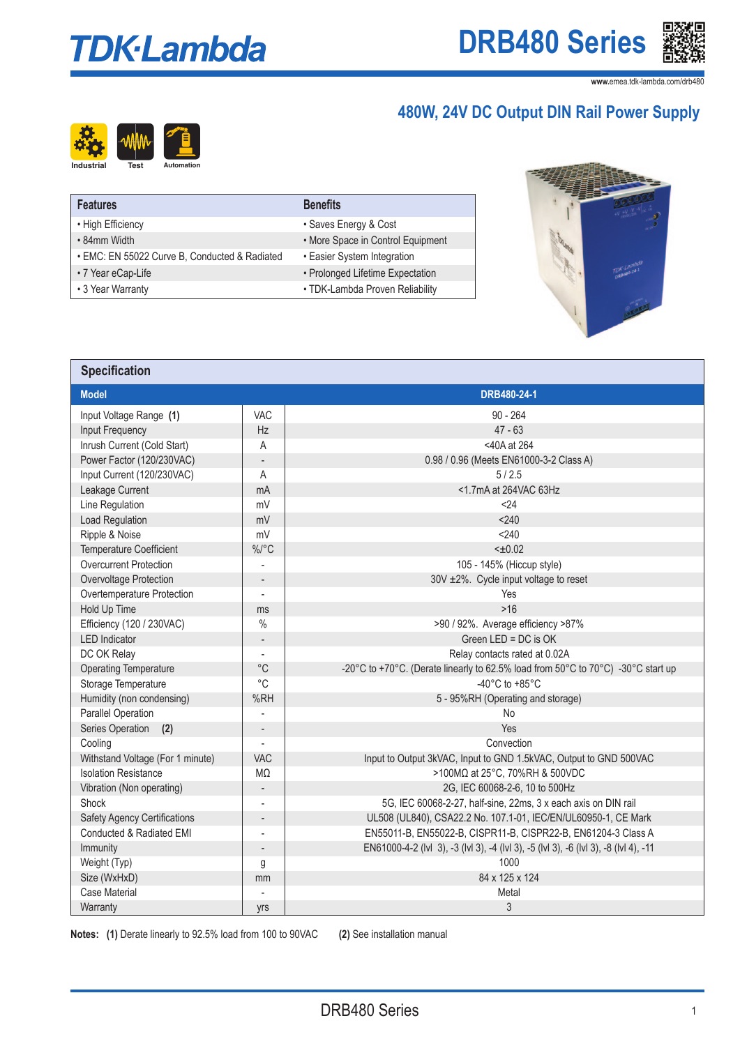# **TDK-Lambda**



**www.**emea.tdk-lambda.com/drb480

## **480W, 24V DC Output DIN Rail Power Supply**



| $10011$ $\pm 11$ $\pm 0$ $\pm 0.00$ $\pm 0.01$ $\pm 0.01$ $\pm 0.01$ |  |  |  |
|----------------------------------------------------------------------|--|--|--|
|                                                                      |  |  |  |
|                                                                      |  |  |  |
|                                                                      |  |  |  |

| <b>Features</b>                               | <b>Benefits</b>                   |
|-----------------------------------------------|-----------------------------------|
| • High Efficiency                             | • Saves Energy & Cost             |
| • 84mm Width                                  | • More Space in Control Equipment |
| · EMC: EN 55022 Curve B, Conducted & Radiated | • Easier System Integration       |
| • 7 Year eCap-Life                            | • Prolonged Lifetime Expectation  |
| • 3 Year Warranty                             | • TDK-Lambda Proven Reliability   |



| <b>Specification</b>                   |                                                                                                 |                                                                                      |  |  |  |  |  |
|----------------------------------------|-------------------------------------------------------------------------------------------------|--------------------------------------------------------------------------------------|--|--|--|--|--|
| <b>Model</b>                           |                                                                                                 | DRB480-24-1                                                                          |  |  |  |  |  |
| Input Voltage Range (1)                | VAC                                                                                             | $90 - 264$                                                                           |  |  |  |  |  |
| Input Frequency                        | <b>Hz</b>                                                                                       | $47 - 63$                                                                            |  |  |  |  |  |
| Inrush Current (Cold Start)            | A                                                                                               | <40A at 264                                                                          |  |  |  |  |  |
| Power Factor (120/230VAC)              | $\overline{\phantom{a}}$                                                                        | 0.98 / 0.96 (Meets EN61000-3-2 Class A)                                              |  |  |  |  |  |
| Input Current (120/230VAC)             | A                                                                                               | 5/2.5                                                                                |  |  |  |  |  |
| Leakage Current                        | mA                                                                                              | <1.7mA at 264VAC 63Hz                                                                |  |  |  |  |  |
| Line Regulation                        | mV                                                                                              | < 24                                                                                 |  |  |  |  |  |
| Load Regulation                        | mV                                                                                              | < 240                                                                                |  |  |  |  |  |
| Ripple & Noise                         | mV                                                                                              | < 240                                                                                |  |  |  |  |  |
| <b>Temperature Coefficient</b>         | $\%$ /°C                                                                                        | $< \pm 0.02$                                                                         |  |  |  |  |  |
| <b>Overcurrent Protection</b>          |                                                                                                 | 105 - 145% (Hiccup style)                                                            |  |  |  |  |  |
| Overvoltage Protection                 | $\overline{a}$                                                                                  | 30V ±2%. Cycle input voltage to reset                                                |  |  |  |  |  |
| Overtemperature Protection             | $\overline{a}$                                                                                  | Yes                                                                                  |  |  |  |  |  |
| Hold Up Time                           | ms                                                                                              | $>16$                                                                                |  |  |  |  |  |
| Efficiency (120 / 230VAC)              | $\%$                                                                                            | >90 / 92%. Average efficiency >87%                                                   |  |  |  |  |  |
| <b>LED</b> Indicator                   | Green LED = DC is OK<br>$\frac{1}{2}$                                                           |                                                                                      |  |  |  |  |  |
| DC OK Relay                            |                                                                                                 | Relay contacts rated at 0.02A                                                        |  |  |  |  |  |
| <b>Operating Temperature</b>           | $^{\circ}C$<br>-20°C to +70°C. (Derate linearly to 62.5% load from 50°C to 70°C) -30°C start up |                                                                                      |  |  |  |  |  |
| Storage Temperature                    | $^{\circ}$ C                                                                                    | -40 $^{\circ}$ C to +85 $^{\circ}$ C                                                 |  |  |  |  |  |
| Humidity (non condensing)              | %RH                                                                                             | 5 - 95%RH (Operating and storage)                                                    |  |  |  |  |  |
| Parallel Operation                     |                                                                                                 | <b>No</b>                                                                            |  |  |  |  |  |
| Series Operation<br>(2)                | $\overline{\phantom{a}}$                                                                        | Yes                                                                                  |  |  |  |  |  |
| Cooling                                |                                                                                                 | Convection                                                                           |  |  |  |  |  |
| Withstand Voltage (For 1 minute)       | <b>VAC</b>                                                                                      | Input to Output 3kVAC, Input to GND 1.5kVAC, Output to GND 500VAC                    |  |  |  |  |  |
| <b>Isolation Resistance</b>            | $M\Omega$                                                                                       | >100MΩ at 25°C, 70%RH & 500VDC                                                       |  |  |  |  |  |
| Vibration (Non operating)              | $\overline{\phantom{a}}$                                                                        | 2G, IEC 60068-2-6, 10 to 500Hz                                                       |  |  |  |  |  |
| Shock                                  |                                                                                                 | 5G, IEC 60068-2-27, half-sine, 22ms, 3 x each axis on DIN rail                       |  |  |  |  |  |
| <b>Safety Agency Certifications</b>    | $\overline{a}$                                                                                  | UL508 (UL840), CSA22.2 No. 107.1-01, IEC/EN/UL60950-1, CE Mark                       |  |  |  |  |  |
| Conducted & Radiated EMI               | EN55011-B, EN55022-B, CISPR11-B, CISPR22-B, EN61204-3 Class A                                   |                                                                                      |  |  |  |  |  |
| Immunity                               | $\overline{\phantom{a}}$                                                                        | EN61000-4-2 (IvI 3), -3 (IvI 3), -4 (IvI 3), -5 (IvI 3), -6 (IvI 3), -8 (IvI 4), -11 |  |  |  |  |  |
| Weight (Typ)                           | 1000<br>g                                                                                       |                                                                                      |  |  |  |  |  |
|                                        | 84 x 125 x 124<br>Size (WxHxD)<br>mm                                                            |                                                                                      |  |  |  |  |  |
| <b>Case Material</b><br>$\overline{a}$ |                                                                                                 | Metal                                                                                |  |  |  |  |  |
| Warranty                               | yrs                                                                                             | 3                                                                                    |  |  |  |  |  |

**Notes:** (1) Derate linearly to 92.5% load from 100 to 90VAC (2) See installation manual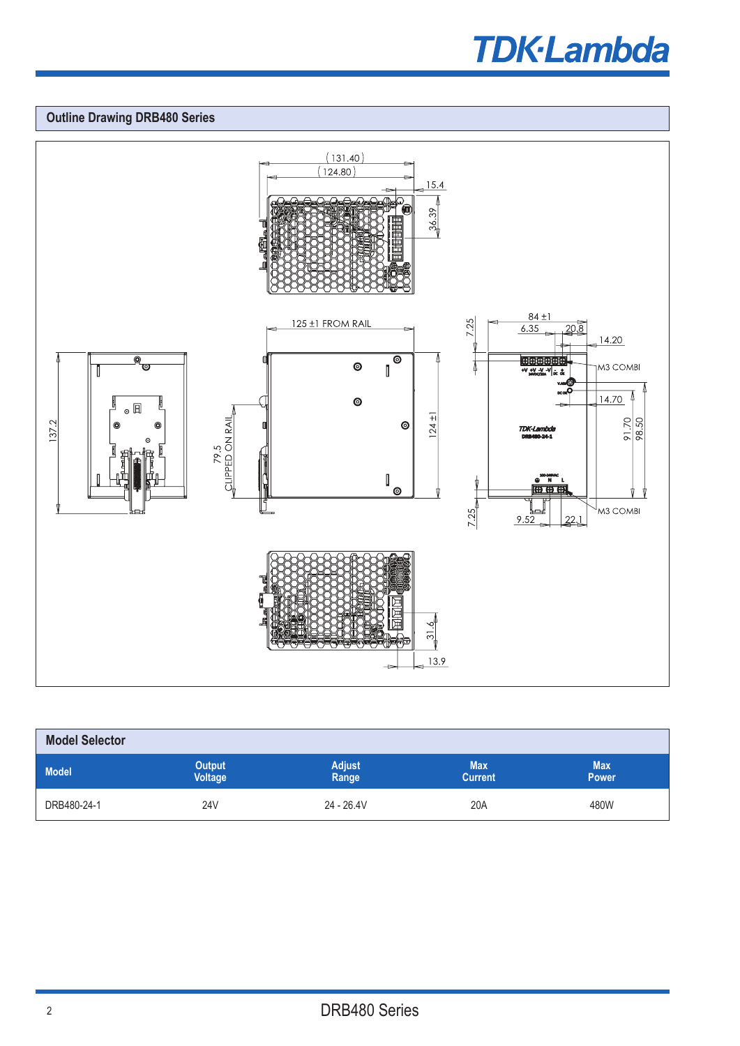## **TDK-Lambda**

## **Outline Drawing DRB480 Series**



| <b>Model Selector</b> |                                 |                        |                              |                            |  |  |  |
|-----------------------|---------------------------------|------------------------|------------------------------|----------------------------|--|--|--|
| <b>Model</b>          | <b>Output</b><br><b>Voltage</b> | <b>Adjust</b><br>Range | <b>Max</b><br><b>Current</b> | <b>Max</b><br><b>Power</b> |  |  |  |
| DRB480-24-1           | <b>24V</b>                      | $24 - 26.4V$           | 20A                          | 480W                       |  |  |  |